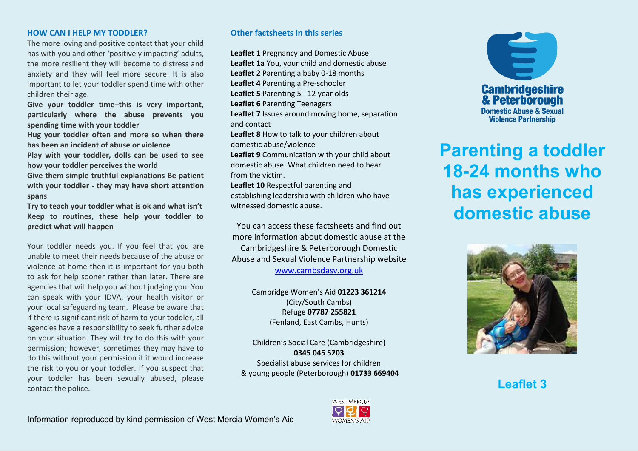### **HOW CAN I HELP MY TODDLER?**

The more loving and positive contact that your child has with you and other 'positively impacting' adults, the more resilient they will become to distress and anxiety and they will feel more secure. It is also important to let your toddler spend time with other children their age.

**Give your toddler time–this is very important, particularly where the abuse prevents you spending time with your toddler** 

**Hug your toddler often and more so when there has been an incident of abuse or violence** 

**Play with your toddler, dolls can be used to see how your toddler perceives the world** 

**Give them simple truthful explanations Be patient with your toddler - they may have short attention spans** 

**Try to teach your toddler what is ok and what isn't Keep to routines, these help your toddler to predict what will happen**

Your toddler needs you. If you feel that you are unable to meet their needs because of the abuse or violence at home then it is important for you both to ask for help sooner rather than later. There are agencies that will help you without judging you. You can speak with your IDVA, your health visitor or your local safeguarding team. Please be aware that if there is significant risk of harm to your toddler, all agencies have a responsibility to seek further advice on your situation. They will try to do this with your permission; however, sometimes they may have to do this without your permission if it would increase the risk to you or your toddler. If you suspect that your toddler has been sexually abused, please contact the police.

# **Other factsheets in this series**

**Leaflet 1** Pregnancy and Domestic Abuse **Leaflet 1a** You, your child and domestic abuse **Leaflet 2** Parenting a baby 0-18 months **Leaflet 4** Parenting a Pre-schooler **Leaflet 5** Parenting 5 - 12 year olds **Leaflet 6** Parenting Teenagers **Leaflet 7** Issues around moving home, separation and contact **Leaflet 8** How to talk to your children about domestic abuse/violence **Leaflet 9** Communication with your child about domestic abuse. What children need to hear from the victim. **Leaflet 10** Respectful parenting and establishing leadership with children who have

witnessed domestic abuse.

You can access these factsheets and find out more information about domestic abuse at the Cambridgeshire & Peterborough Domestic Abuse and Sexual Violence Partnership website [www.cambsdasv.org.uk](http://www.cambsdasv.org.uk/) 

> Cambridge Women's Aid 01223 361214 (City/South Cambs) Refuge **07787 255821**  (Fenland, East Cambs, Hunts)

Children's Social Care (Cambridgeshire) **0345 045 5203**  Specialist abuse services for children & young people (Peterborough) **01733 669404** 



**Parenting a toddler 18-24 months who has experienced domestic abuse**



**Leaflet 3**